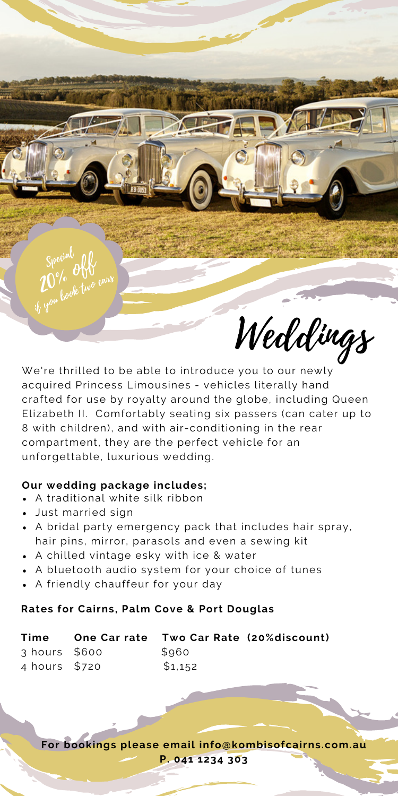

We're thrilled to be able to introduce you to our newly acquired Princess Limousines - vehicles literally hand crafted for use by royalty around the globe, including Queen Elizabeth II. Comfortably seating six passers (can cater up to 8 with children), and with air-conditioning in the rear compartment, they are the perfect vehicle for an unforgettable, luxurious wedding.

## **Our wedding package includes;**

- A traditional white silk ribbon
- Just married sign
- A bridal party emergency pack that includes hair spray, hair pins, mirror, parasols and even a sewing kit
- A chilled vintage esky with ice & water
- A bluetooth audio system for your choice of tunes
- A friendly chauffeur for your day

## **Rates for Cairns, Palm Cove & Port Douglas**

| Time          | One Car rate Two Car Rate (20% discount) |  |
|---------------|------------------------------------------|--|
| 3 hours \$600 | \$960                                    |  |
| 4 hours \$720 | \$1,152                                  |  |

**For bookings please email info@kombisofcairns.com.au P. 041 1234 303**